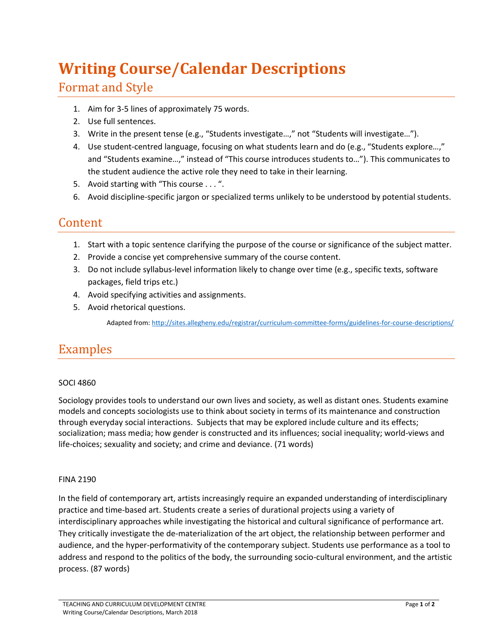# **Writing Course/Calendar Descriptions**

### Format and Style

- 1. Aim for 3-5 lines of approximately 75 words.
- 2. Use full sentences.
- 3. Write in the present tense (e.g., "Students investigate…," not "Students will investigate…").
- 4. Use student-centred language, focusing on what students learn and do (e.g., "Students explore…," and "Students examine…," instead of "This course introduces students to…"). This communicates to the student audience the active role they need to take in their learning.
- 5. Avoid starting with "This course . . . ".
- 6. Avoid discipline-specific jargon or specialized terms unlikely to be understood by potential students.

### Content

- 1. Start with a topic sentence clarifying the purpose of the course or significance of the subject matter.
- 2. Provide a concise yet comprehensive summary of the course content.
- 3. Do not include syllabus-level information likely to change over time (e.g., specific texts, software packages, field trips etc.)
- 4. Avoid specifying activities and assignments.
- 5. Avoid rhetorical questions.

Adapted from:<http://sites.allegheny.edu/registrar/curriculum-committee-forms/guidelines-for-course-descriptions/>

## Examples

### SOCI 4860

Sociology provides tools to understand our own lives and society, as well as distant ones. Students examine models and concepts sociologists use to think about society in terms of its maintenance and construction through everyday social interactions. Subjects that may be explored include culture and its effects; socialization; mass media; how gender is constructed and its influences; social inequality; world-views and life-choices; sexuality and society; and crime and deviance. (71 words)

#### FINA 2190

In the field of contemporary art, artists increasingly require an expanded understanding of interdisciplinary practice and time-based art. Students create a series of durational projects using a variety of interdisciplinary approaches while investigating the historical and cultural significance of performance art. They critically investigate the de-materialization of the art object, the relationship between performer and audience, and the hyper-performativity of the contemporary subject. Students use performance as a tool to address and respond to the politics of the body, the surrounding socio-cultural environment, and the artistic process. (87 words)